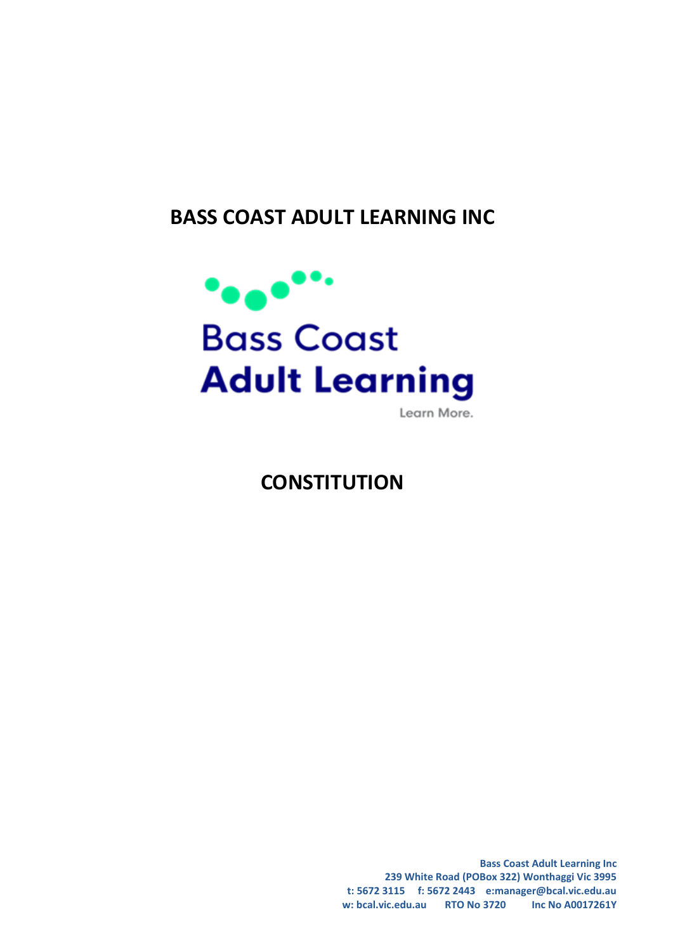# **BASS COAST ADULT LEARNING INC**



Learn More.

# **CONSTITUTION**

**Bass Coast Adult Learning Inc 239 White Road (POBox 322) Wonthaggi Vic 3995 t: 5672 3115 f: 5672 2443 e:manager@bcal.vic.edu.au w: bcal.vic.edu.au RTO No 3720 Inc No A0017261Y**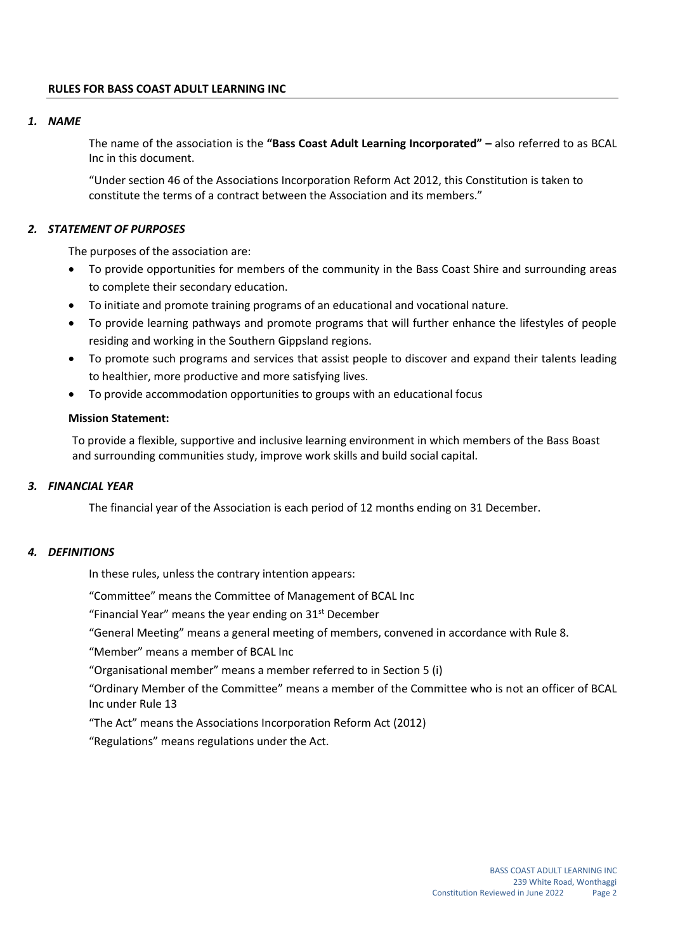#### *1. NAME*

The name of the association is the **"Bass Coast Adult Learning Incorporated" –** also referred to as BCAL Inc in this document.

"Under section 46 of the Associations Incorporation Reform Act 2012, this Constitution is taken to constitute the terms of a contract between the Association and its members."

#### *2. STATEMENT OF PURPOSES*

The purposes of the association are:

- To provide opportunities for members of the community in the Bass Coast Shire and surrounding areas to complete their secondary education.
- To initiate and promote training programs of an educational and vocational nature.
- To provide learning pathways and promote programs that will further enhance the lifestyles of people residing and working in the Southern Gippsland regions.
- To promote such programs and services that assist people to discover and expand their talents leading to healthier, more productive and more satisfying lives.
- To provide accommodation opportunities to groups with an educational focus

#### **Mission Statement:**

To provide a flexible, supportive and inclusive learning environment in which members of the Bass Boast and surrounding communities study, improve work skills and build social capital.

#### *3. FINANCIAL YEAR*

The financial year of the Association is each period of 12 months ending on 31 December.

# *4. DEFINITIONS*

In these rules, unless the contrary intention appears:

"Committee" means the Committee of Management of BCAL Inc

"Financial Year" means the year ending on  $31<sup>st</sup>$  December

"General Meeting" means a general meeting of members, convened in accordance with Rule 8.

"Member" means a member of BCAL Inc

"Organisational member" means a member referred to in Section 5 (i)

"Ordinary Member of the Committee" means a member of the Committee who is not an officer of BCAL Inc under Rule 13

"The Act" means the Associations Incorporation Reform Act (2012)

"Regulations" means regulations under the Act.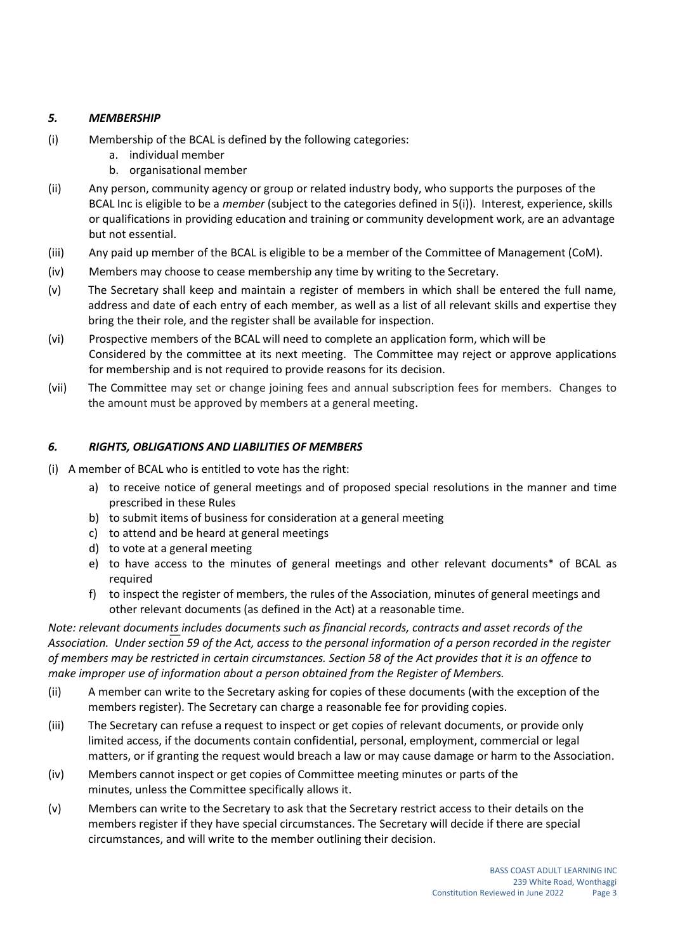# *5. MEMBERSHIP*

- (i) Membership of the BCAL is defined by the following categories:
	- a. individual member
	- b. organisational member
- (ii) Any person, community agency or group or related industry body, who supports the purposes of the BCAL Inc is eligible to be a *member* (subject to the categories defined in 5(i)). Interest, experience, skills or qualifications in providing education and training or community development work, are an advantage but not essential.
- (iii) Any paid up member of the BCAL is eligible to be a member of the Committee of Management (CoM).
- (iv) Members may choose to cease membership any time by writing to the Secretary.
- (v) The Secretary shall keep and maintain a register of members in which shall be entered the full name, address and date of each entry of each member, as well as a list of all relevant skills and expertise they bring the their role, and the register shall be available for inspection.
- (vi) Prospective members of the BCAL will need to complete an application form, which will be Considered by the committee at its next meeting. The Committee may reject or approve applications for membership and is not required to provide reasons for its decision.
- (vii) The Committee may set or change joining fees and annual subscription fees for members. Changes to the amount must be approved by members at a general meeting.

# *6. RIGHTS, OBLIGATIONS AND LIABILITIES OF MEMBERS*

- (i) A member of BCAL who is entitled to vote has the right:
	- a) to receive notice of general meetings and of proposed special resolutions in the manner and time prescribed in these Rules
	- b) to submit items of business for consideration at a general meeting
	- c) to attend and be heard at general meetings
	- d) to vote at a general meeting
	- e) to have access to the minutes of general meetings and other relevant documents\* of BCAL as required
	- f) to inspect the register of members, the rules of the Association, minutes of general meetings and other relevant documents (as defined in the Act) at a reasonable time.

*Note: relevant documents͟includes documents such as financial records, contracts and asset records of the* Association. Under section 59 of the Act, access to the personal information of a person recorded in the register of members may be restricted in certain circumstances. Section 58 of the Act provides that it is an offence to *make improper use of information about a person obtained from the Register of Members.*

- (ii) A member can write to the Secretary asking for copies of these documents (with the exception of the members register). The Secretary can charge a reasonable fee for providing copies.
- (iii) The Secretary can refuse a request to inspect or get copies of relevant documents, or provide only limited access, if the documents contain confidential, personal, employment, commercial or legal matters, or if granting the request would breach a law or may cause damage or harm to the Association.
- (iv) Members cannot inspect or get copies of Committee meeting minutes or parts of the minutes, unless the Committee specifically allows it.
- (v) Members can write to the Secretary to ask that the Secretary restrict access to their details on the members register if they have special circumstances. The Secretary will decide if there are special circumstances, and will write to the member outlining their decision.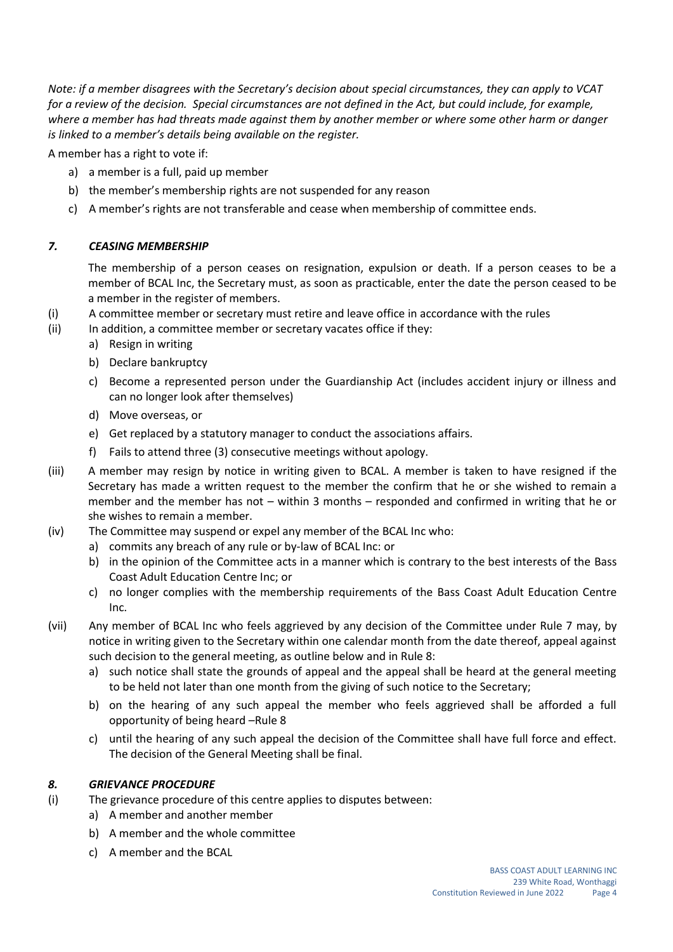Note: if a member disagrees with the Secretary's decision about special circumstances, they can apply to VCAT for a review of the decision. Special circumstances are not defined in the Act, but could include, for example, where a member has had threats made against them by another member or where some other harm or danger *is linked to a member's details being available on the register.*

A member has a right to vote if:

- a) a member is a full, paid up member
- b) the member's membership rights are not suspended for any reason
- c) A member's rights are not transferable and cease when membership of committee ends.

# *7. CEASING MEMBERSHIP*

The membership of a person ceases on resignation, expulsion or death. If a person ceases to be a member of BCAL Inc, the Secretary must, as soon as practicable, enter the date the person ceased to be a member in the register of members.

- (i) A committee member or secretary must retire and leave office in accordance with the rules
- (ii) In addition, a committee member or secretary vacates office if they:
	- a) Resign in writing
	- b) Declare bankruptcy
	- c) Become a represented person under the Guardianship Act (includes accident injury or illness and can no longer look after themselves)
	- d) Move overseas, or
	- e) Get replaced by a statutory manager to conduct the associations affairs.
	- f) Fails to attend three (3) consecutive meetings without apology.
- (iii) A member may resign by notice in writing given to BCAL. A member is taken to have resigned if the Secretary has made a written request to the member the confirm that he or she wished to remain a member and the member has not – within 3 months – responded and confirmed in writing that he or she wishes to remain a member.
- (iv) The Committee may suspend or expel any member of the BCAL Inc who:
	- a) commits any breach of any rule or by-law of BCAL Inc: or
		- b) in the opinion of the Committee acts in a manner which is contrary to the best interests of the Bass Coast Adult Education Centre Inc; or
		- c) no longer complies with the membership requirements of the Bass Coast Adult Education Centre Inc.
- (vii) Any member of BCAL Inc who feels aggrieved by any decision of the Committee under Rule 7 may, by notice in writing given to the Secretary within one calendar month from the date thereof, appeal against such decision to the general meeting, as outline below and in Rule 8:
	- a) such notice shall state the grounds of appeal and the appeal shall be heard at the general meeting to be held not later than one month from the giving of such notice to the Secretary;
	- b) on the hearing of any such appeal the member who feels aggrieved shall be afforded a full opportunity of being heard –Rule 8
	- c) until the hearing of any such appeal the decision of the Committee shall have full force and effect. The decision of the General Meeting shall be final.

# *8. GRIEVANCE PROCEDURE*

- (i) The grievance procedure of this centre applies to disputes between:
	- a) A member and another member
	- b) A member and the whole committee
	- c) A member and the BCAL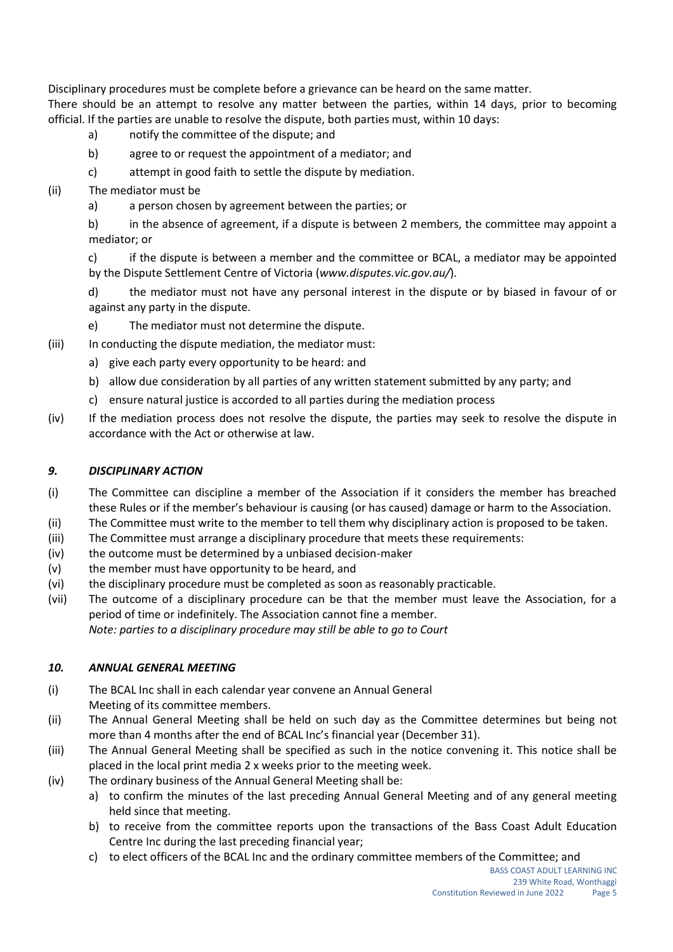Disciplinary procedures must be complete before a grievance can be heard on the same matter.

There should be an attempt to resolve any matter between the parties, within 14 days, prior to becoming official. If the parties are unable to resolve the dispute, both parties must, within 10 days:

- a) notify the committee of the dispute; and
- b) agree to or request the appointment of a mediator; and
- c) attempt in good faith to settle the dispute by mediation.
- (ii) The mediator must be
	- a) a person chosen by agreement between the parties; or

b) in the absence of agreement, if a dispute is between 2 members, the committee may appoint a mediator; or

c) if the dispute is between a member and the committee or BCAL, a mediator may be appointed by the Dispute Settlement Centre of Victoria (*www.disputes.vic.gov.au/*).

d) the mediator must not have any personal interest in the dispute or by biased in favour of or against any party in the dispute.

- e) The mediator must not determine the dispute.
- (iii) In conducting the dispute mediation, the mediator must:
	- a) give each party every opportunity to be heard: and
	- b) allow due consideration by all parties of any written statement submitted by any party; and
	- c) ensure natural justice is accorded to all parties during the mediation process
- (iv) If the mediation process does not resolve the dispute, the parties may seek to resolve the dispute in accordance with the Act or otherwise at law.

# *9. DISCIPLINARY ACTION*

- (i) The Committee can discipline a member of the Association if it considers the member has breached these Rules or if the member's behaviour is causing (or has caused) damage or harm to the Association.
- (ii) The Committee must write to the member to tell them why disciplinary action is proposed to be taken.
- (iii) The Committee must arrange a disciplinary procedure that meets these requirements:
- (iv) the outcome must be determined by a unbiased decision-maker
- (v) the member must have opportunity to be heard, and
- (vi) the disciplinary procedure must be completed as soon as reasonably practicable.
- (vii) The outcome of a disciplinary procedure can be that the member must leave the Association, for a period of time or indefinitely. The Association cannot fine a member. *Note: parties to a disciplinary procedure may still be able to go to Court*

# *10. ANNUAL GENERAL MEETING*

- (i) The BCAL Inc shall in each calendar year convene an Annual General Meeting of its committee members.
- (ii) The Annual General Meeting shall be held on such day as the Committee determines but being not more than 4 months after the end of BCAL Inc's financial year (December 31).
- (iii) The Annual General Meeting shall be specified as such in the notice convening it. This notice shall be placed in the local print media 2 x weeks prior to the meeting week.
- (iv) The ordinary business of the Annual General Meeting shall be:
	- a) to confirm the minutes of the last preceding Annual General Meeting and of any general meeting held since that meeting.
	- b) to receive from the committee reports upon the transactions of the Bass Coast Adult Education Centre Inc during the last preceding financial year;
	- c) to elect officers of the BCAL Inc and the ordinary committee members of the Committee; and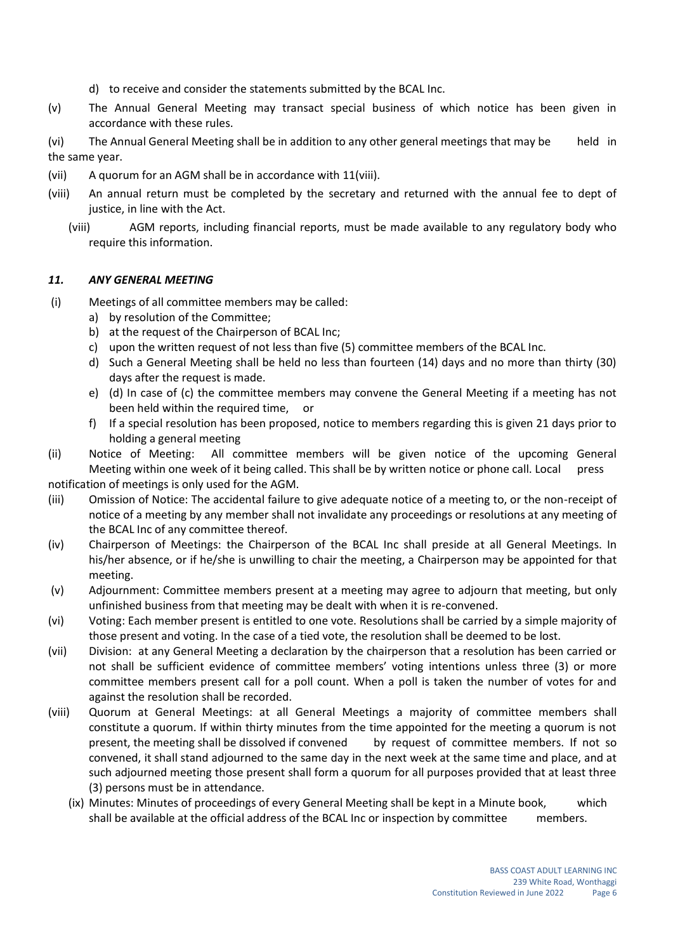- d) to receive and consider the statements submitted by the BCAL Inc.
- (v) The Annual General Meeting may transact special business of which notice has been given in accordance with these rules.
- (vi) The Annual General Meeting shall be in addition to any other general meetings that may be held in the same year.
- (vii) A quorum for an AGM shall be in accordance with 11(viii).
- (viii) An annual return must be completed by the secretary and returned with the annual fee to dept of justice, in line with the Act.
	- (viii) AGM reports, including financial reports, must be made available to any regulatory body who require this information.

#### *11. ANY GENERAL MEETING*

- (i) Meetings of all committee members may be called:
	- a) by resolution of the Committee;
	- b) at the request of the Chairperson of BCAL Inc;
	- c) upon the written request of not less than five (5) committee members of the BCAL Inc.
	- d) Such a General Meeting shall be held no less than fourteen (14) days and no more than thirty (30) days after the request is made.
	- e) (d) In case of (c) the committee members may convene the General Meeting if a meeting has not been held within the required time, or
	- f) If a special resolution has been proposed, notice to members regarding this is given 21 days prior to holding a general meeting
- (ii) Notice of Meeting: All committee members will be given notice of the upcoming General Meeting within one week of it being called. This shall be by written notice or phone call. Local press

notification of meetings is only used for the AGM.

- (iii) Omission of Notice: The accidental failure to give adequate notice of a meeting to, or the non-receipt of notice of a meeting by any member shall not invalidate any proceedings or resolutions at any meeting of the BCAL Inc of any committee thereof.
- (iv) Chairperson of Meetings: the Chairperson of the BCAL Inc shall preside at all General Meetings. In his/her absence, or if he/she is unwilling to chair the meeting, a Chairperson may be appointed for that meeting.
- (v) Adjournment: Committee members present at a meeting may agree to adjourn that meeting, but only unfinished business from that meeting may be dealt with when it is re-convened.
- (vi) Voting: Each member present is entitled to one vote. Resolutions shall be carried by a simple majority of those present and voting. In the case of a tied vote, the resolution shall be deemed to be lost.
- (vii) Division: at any General Meeting a declaration by the chairperson that a resolution has been carried or not shall be sufficient evidence of committee members' voting intentions unless three (3) or more committee members present call for a poll count. When a poll is taken the number of votes for and against the resolution shall be recorded.
- (viii) Quorum at General Meetings: at all General Meetings a majority of committee members shall constitute a quorum. If within thirty minutes from the time appointed for the meeting a quorum is not present, the meeting shall be dissolved if convened by request of committee members. If not so convened, it shall stand adjourned to the same day in the next week at the same time and place, and at such adjourned meeting those present shall form a quorum for all purposes provided that at least three (3) persons must be in attendance.
	- (ix) Minutes: Minutes of proceedings of every General Meeting shall be kept in a Minute book, which shall be available at the official address of the BCAL Inc or inspection by committee members.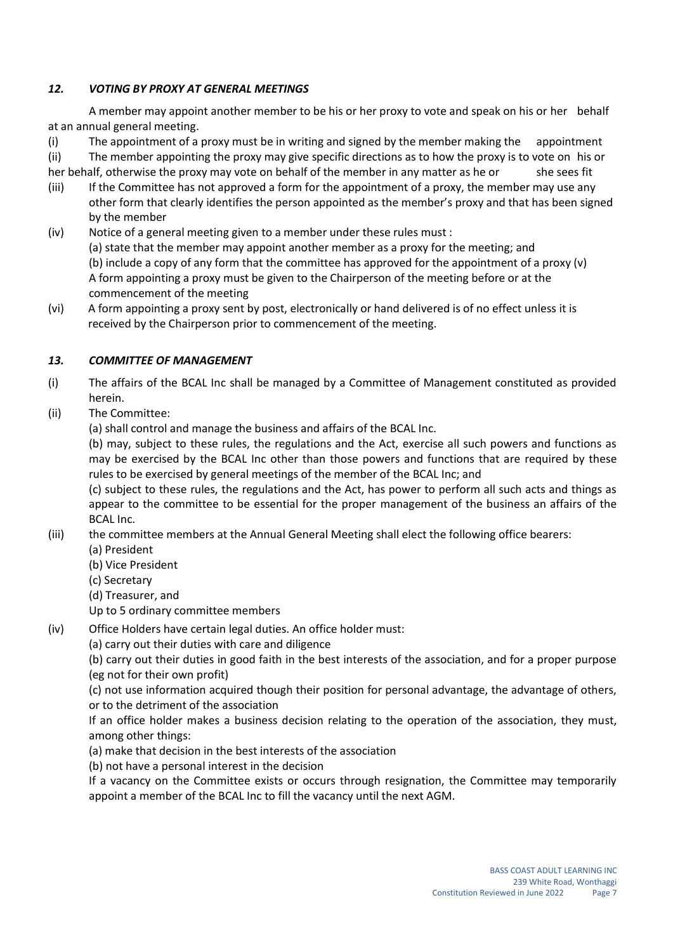# *12. VOTING BY PROXY AT GENERAL MEETINGS*

A member may appoint another member to be his or her proxy to vote and speak on his or her behalf at an annual general meeting.

(i) The appointment of a proxy must be in writing and signed by the member making the appointment (ii) The member appointing the proxy may give specific directions as to how the proxy is to vote on his or her behalf, otherwise the proxy may vote on behalf of the member in any matter as he or she sees fit

- (iii) If the Committee has not approved a form for the appointment of a proxy, the member may use any other form that clearly identifies the person appointed as the member's proxy and that has been signed by the member
- (iv) Notice of a general meeting given to a member under these rules must : (a) state that the member may appoint another member as a proxy for the meeting; and (b) include a copy of any form that the committee has approved for the appointment of a proxy (v) A form appointing a proxy must be given to the Chairperson of the meeting before or at the commencement of the meeting
- (vi) A form appointing a proxy sent by post, electronically or hand delivered is of no effect unless it is received by the Chairperson prior to commencement of the meeting.

# *13. COMMITTEE OF MANAGEMENT*

- (i) The affairs of the BCAL Inc shall be managed by a Committee of Management constituted as provided herein.
- (ii) The Committee:

(a) shall control and manage the business and affairs of the BCAL Inc.

(b) may, subject to these rules, the regulations and the Act, exercise all such powers and functions as may be exercised by the BCAL Inc other than those powers and functions that are required by these rules to be exercised by general meetings of the member of the BCAL Inc; and

(c) subject to these rules, the regulations and the Act, has power to perform all such acts and things as appear to the committee to be essential for the proper management of the business an affairs of the BCAL Inc.

- (iii) the committee members at the Annual General Meeting shall elect the following office bearers:
	- (a) President
		- (b) Vice President
		- (c) Secretary
		- (d) Treasurer, and

Up to 5 ordinary committee members

- (iv) Office Holders have certain legal duties. An office holder must:
	- (a) carry out their duties with care and diligence

(b) carry out their duties in good faith in the best interests of the association, and for a proper purpose (eg not for their own profit)

(c) not use information acquired though their position for personal advantage, the advantage of others, or to the detriment of the association

If an office holder makes a business decision relating to the operation of the association, they must, among other things:

- (a) make that decision in the best interests of the association
- (b) not have a personal interest in the decision

If a vacancy on the Committee exists or occurs through resignation, the Committee may temporarily appoint a member of the BCAL Inc to fill the vacancy until the next AGM.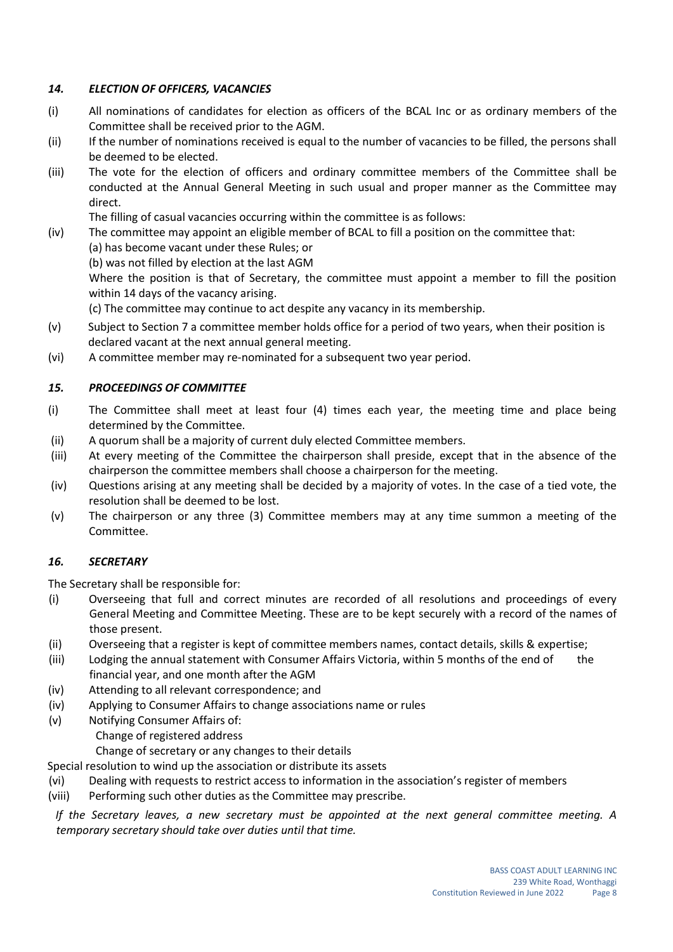# *14. ELECTION OF OFFICERS, VACANCIES*

- (i) All nominations of candidates for election as officers of the BCAL Inc or as ordinary members of the Committee shall be received prior to the AGM.
- (ii) If the number of nominations received is equal to the number of vacancies to be filled, the persons shall be deemed to be elected.
- (iii) The vote for the election of officers and ordinary committee members of the Committee shall be conducted at the Annual General Meeting in such usual and proper manner as the Committee may direct.

The filling of casual vacancies occurring within the committee is as follows:

- (iv) The committee may appoint an eligible member of BCAL to fill a position on the committee that:
	- (a) has become vacant under these Rules; or
	- (b) was not filled by election at the last AGM

Where the position is that of Secretary, the committee must appoint a member to fill the position within 14 days of the vacancy arising.

(c) The committee may continue to act despite any vacancy in its membership.

- (v) Subject to Section 7 a committee member holds office for a period of two years, when their position is declared vacant at the next annual general meeting.
- (vi) A committee member may re-nominated for a subsequent two year period.

#### *15. PROCEEDINGS OF COMMITTEE*

- (i) The Committee shall meet at least four (4) times each year, the meeting time and place being determined by the Committee.
- (ii) A quorum shall be a majority of current duly elected Committee members.
- (iii) At every meeting of the Committee the chairperson shall preside, except that in the absence of the chairperson the committee members shall choose a chairperson for the meeting.
- (iv) Questions arising at any meeting shall be decided by a majority of votes. In the case of a tied vote, the resolution shall be deemed to be lost.
- (v) The chairperson or any three (3) Committee members may at any time summon a meeting of the Committee.

# *16. SECRETARY*

The Secretary shall be responsible for:

- (i) Overseeing that full and correct minutes are recorded of all resolutions and proceedings of every General Meeting and Committee Meeting. These are to be kept securely with a record of the names of those present.
- (ii) Overseeing that a register is kept of committee members names, contact details, skills & expertise;
- (iii) Lodging the annual statement with Consumer Affairs Victoria, within 5 months of the end of the financial year, and one month after the AGM
- (iv) Attending to all relevant correspondence; and
- (iv) Applying to Consumer Affairs to change associations name or rules
- (v) Notifying Consumer Affairs of:
	- Change of registered address

Change of secretary or any changes to their details

Special resolution to wind up the association or distribute its assets

- (vi) Dealing with requests to restrict access to information in the association's register of members
- (viii) Performing such other duties as the Committee may prescribe.

*If the Secretary leaves, a new secretary must be appointed at the next general committee meeting. A temporary secretary should take over duties until that time.*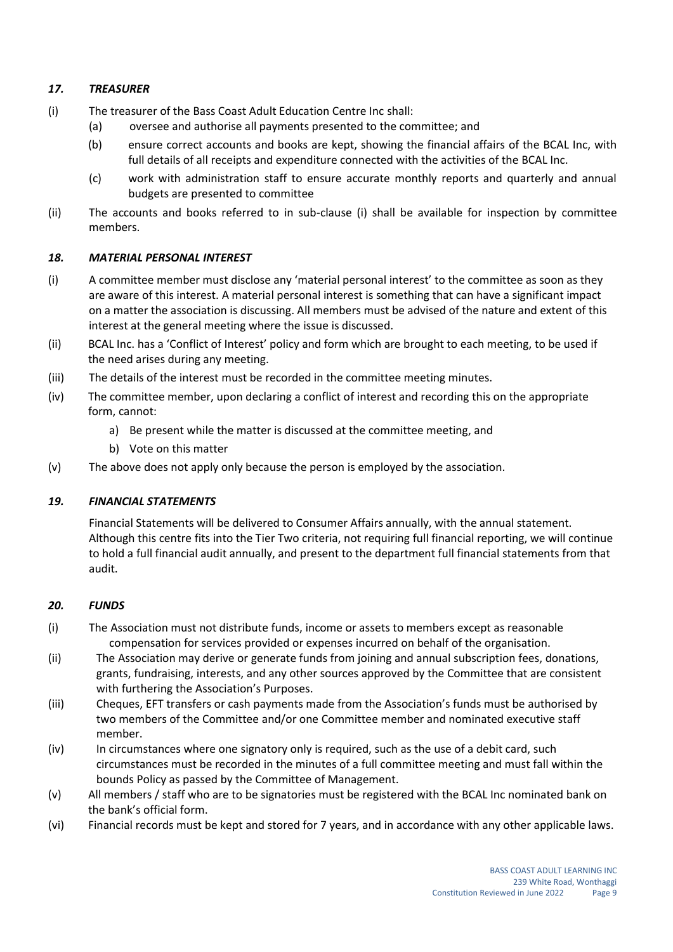# *17. TREASURER*

- (i) The treasurer of the Bass Coast Adult Education Centre Inc shall:
	- (a) oversee and authorise all payments presented to the committee; and
	- (b) ensure correct accounts and books are kept, showing the financial affairs of the BCAL Inc, with full details of all receipts and expenditure connected with the activities of the BCAL Inc.
	- (c) work with administration staff to ensure accurate monthly reports and quarterly and annual budgets are presented to committee
- (ii) The accounts and books referred to in sub-clause (i) shall be available for inspection by committee members.

#### *18. MATERIAL PERSONAL INTEREST*

- (i) A committee member must disclose any 'material personal interest' to the committee as soon as they are aware of this interest. A material personal interest is something that can have a significant impact on a matter the association is discussing. All members must be advised of the nature and extent of this interest at the general meeting where the issue is discussed.
- (ii) BCAL Inc. has a 'Conflict of Interest' policy and form which are brought to each meeting, to be used if the need arises during any meeting.
- (iii) The details of the interest must be recorded in the committee meeting minutes.
- (iv) The committee member, upon declaring a conflict of interest and recording this on the appropriate form, cannot:
	- a) Be present while the matter is discussed at the committee meeting, and
	- b) Vote on this matter
- (v) The above does not apply only because the person is employed by the association.

# *19. FINANCIAL STATEMENTS*

Financial Statements will be delivered to Consumer Affairs annually, with the annual statement. Although this centre fits into the Tier Two criteria, not requiring full financial reporting, we will continue to hold a full financial audit annually, and present to the department full financial statements from that audit.

#### *20. FUNDS*

- (i) The Association must not distribute funds, income or assets to members except as reasonable compensation for services provided or expenses incurred on behalf of the organisation.
- (ii) The Association may derive or generate funds from joining and annual subscription fees, donations, grants, fundraising, interests, and any other sources approved by the Committee that are consistent with furthering the Association's Purposes.
- (iii) Cheques, EFT transfers or cash payments made from the Association's funds must be authorised by two members of the Committee and/or one Committee member and nominated executive staff member.
- (iv) In circumstances where one signatory only is required, such as the use of a debit card, such circumstances must be recorded in the minutes of a full committee meeting and must fall within the bounds Policy as passed by the Committee of Management.
- (v) All members / staff who are to be signatories must be registered with the BCAL Inc nominated bank on the bank's official form.
- (vi) Financial records must be kept and stored for 7 years, and in accordance with any other applicable laws.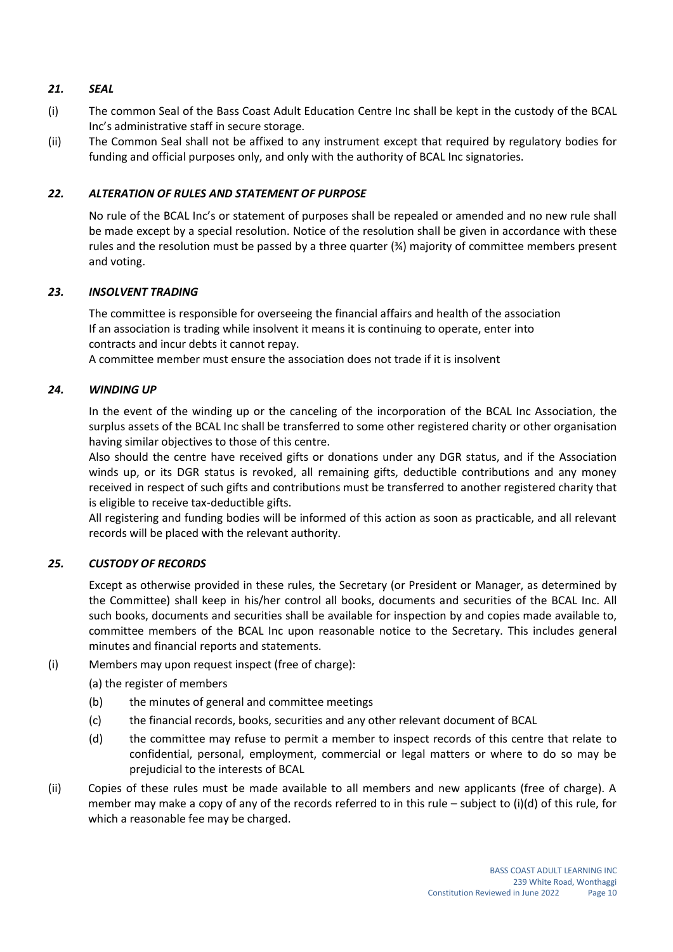# *21. SEAL*

- (i) The common Seal of the Bass Coast Adult Education Centre Inc shall be kept in the custody of the BCAL Inc's administrative staff in secure storage.
- (ii) The Common Seal shall not be affixed to any instrument except that required by regulatory bodies for funding and official purposes only, and only with the authority of BCAL Inc signatories.

## *22. ALTERATION OF RULES AND STATEMENT OF PURPOSE*

No rule of the BCAL Inc's or statement of purposes shall be repealed or amended and no new rule shall be made except by a special resolution. Notice of the resolution shall be given in accordance with these rules and the resolution must be passed by a three quarter (¾) majority of committee members present and voting.

#### *23. INSOLVENT TRADING*

The committee is responsible for overseeing the financial affairs and health of the association If an association is trading while insolvent it means it is continuing to operate, enter into contracts and incur debts it cannot repay.

A committee member must ensure the association does not trade if it is insolvent

#### *24. WINDING UP*

In the event of the winding up or the canceling of the incorporation of the BCAL Inc Association, the surplus assets of the BCAL Inc shall be transferred to some other registered charity or other organisation having similar objectives to those of this centre.

Also should the centre have received gifts or donations under any DGR status, and if the Association winds up, or its DGR status is revoked, all remaining gifts, deductible contributions and any money received in respect of such gifts and contributions must be transferred to another registered charity that is eligible to receive tax-deductible gifts.

All registering and funding bodies will be informed of this action as soon as practicable, and all relevant records will be placed with the relevant authority.

#### *25. CUSTODY OF RECORDS*

Except as otherwise provided in these rules, the Secretary (or President or Manager, as determined by the Committee) shall keep in his/her control all books, documents and securities of the BCAL Inc. All such books, documents and securities shall be available for inspection by and copies made available to, committee members of the BCAL Inc upon reasonable notice to the Secretary. This includes general minutes and financial reports and statements.

- (i) Members may upon request inspect (free of charge):
	- (a) the register of members
	- (b) the minutes of general and committee meetings
	- (c) the financial records, books, securities and any other relevant document of BCAL
	- (d) the committee may refuse to permit a member to inspect records of this centre that relate to confidential, personal, employment, commercial or legal matters or where to do so may be prejudicial to the interests of BCAL
- (ii) Copies of these rules must be made available to all members and new applicants (free of charge). A member may make a copy of any of the records referred to in this rule – subject to (i)(d) of this rule, for which a reasonable fee may be charged.